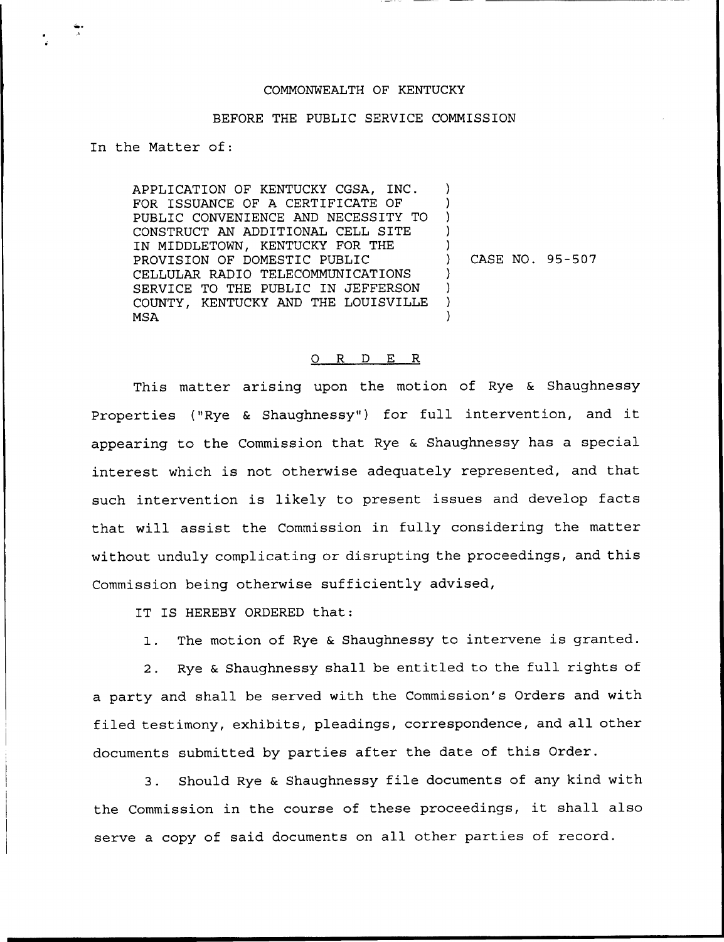## COMMONNEALTH OF KENTUCKY

## BEFORE THE PUBLIC SERVICE COMMISSION

In the Matter of:

APPLICATION OF KENTUCKY CGSA, INC. FOR ISSUANCE OF A CERTIFICATE OF PUBLIC CONVENIENCE AND NECESSITY TO CONSTRUCT AN ADDITIONAL CELL SITE IN MIDDLETOWN, KENTUCKY FOR THE PROVISION OF DOMESTIC PUBLIC CELLULAR RADIO TELECOMMUNICATIONS SERVICE TO THE PUBLIC IN JEFFERSON COUNTY, KENTUCKY AND THE LOUISVILLE MSA ) ) ) ) ) ) CASE NO. 95-507 ) ) ) )

## 0 R <sup>D</sup> E R

This matter arising upon the motion of Rye & Shaughnessy Properties ("Rye & Shaughnessy") for full intervention, and it appearing to the Commission that Rye & Shaughnessy has a special interest which is not otherwise adequately represented, and that such intervention is likely to present issues and develop facts that will assist the Commission in fully considering the matter without unduly complicating or disrupting the proceedings, and this Commission being otherwise sufficiently advised,

IT IS HEREBY ORDERED that:

1. The motion of Rye & Shaughnessy to intervene is granted.

2. Rye & Shaughnessy shall be entitled to the full rights of a party and shall be served with the Commission's Orders and with filed testimony, exhibits, pleadings, correspondence, and all other documents submitted by parties after the date of this Order.

3. Should Rye & Shaughnessy file documents of any kind with the Commission in the course of these proceedings, it shall also serve a copy of said documents on all other parties of record.